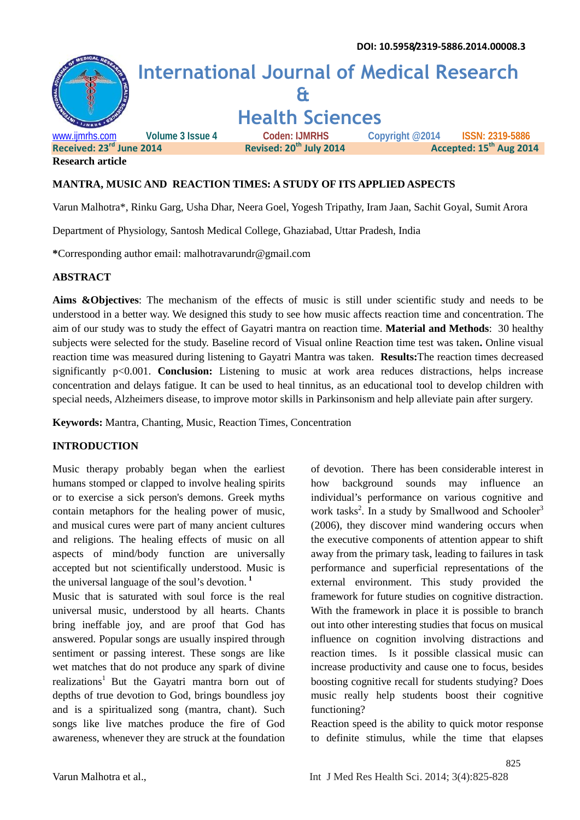

**Research article**

#### **MANTRA, MUSIC AND REACTION TIMES: A STUDY OF ITS APPLIED ASPECTS**

Varun Malhotra\*, Rinku Garg, Usha Dhar, Neera Goel, Yogesh Tripathy, Iram Jaan, Sachit Goyal, Sumit Arora

Department of Physiology, Santosh Medical College, Ghaziabad, Uttar Pradesh, India

**\***Corresponding author email: malhotravarundr@gmail.com

#### **ABSTRACT**

**Aims &Objectives**: The mechanism of the effects of music is still under scientific study and needs to be understood in a better way. We designed this study to see how music affects reaction time and concentration. The aim of our study was to study the effect of Gayatri mantra on reaction time. **Material and Methods**: 30 healthy subjects were selected for the study. Baseline record of Visual online Reaction time test was taken**.** Online visual reaction time was measured during listening to Gayatri Mantra was taken. **Results:**The reaction times decreased significantly p<0.001. **Conclusion:** Listening to music at work area reduces distractions, helps increase concentration and delays fatigue. It can be used to heal tinnitus, as an educational tool to develop children with special needs, Alzheimers disease, to improve motor skills in Parkinsonism and help alleviate pain after surgery.

**Keywords:** Mantra, Chanting, Music, Reaction Times, Concentration

### **INTRODUCTION**

Music therapy probably began when the earliest humans stomped or clapped to involve healing spirits how or to exercise a sick person's demons. Greek myths contain metaphors for the healing power of music, and musical cures were part of many ancient cultures and religions. The healing effects of music on all aspects of mind/body function are universally accepted but not scientifically understood. Music is the universal language of the soul's devotion. **<sup>1</sup>**

Music that is saturated with soul force is the real universal music, understood by all hearts. Chants bring ineffable joy, and are proof that God has answered. Popular songs are usually inspired through sentiment or passing interest. These songs are like wet matches that do not produce any spark of divine realizations<sup>1</sup> But the Gayatri mantra born out of depths of true devotion to God, brings boundless joy and is a spiritualized song (mantra, chant). Such songs like live matches produce the fire of God awareness, whenever they are struck at the foundation of devotion. There has been considerable interest in background sounds may influence an individual's performance on various cognitive and work tasks<sup>2</sup>. In a study by Smallwood and Schooler<sup>3</sup> (2006), they discover mind wandering occurs when the executive components of attention appear to shift away from the primary task, leading to failures in task performance and superficial representations of the external environment. This study provided the framework for future studies on cognitive distraction. With the framework in place it is possible to branch out into other interesting studies that focus on musical influence on cognition involving distractions and reaction times. Is it possible classical music can increase productivity and cause one to focus, besides boosting cognitive recall for students studying? Does music really help students boost their cognitive functioning?

Reaction speed is the ability to quick motor response to definite stimulus, while the time that elapses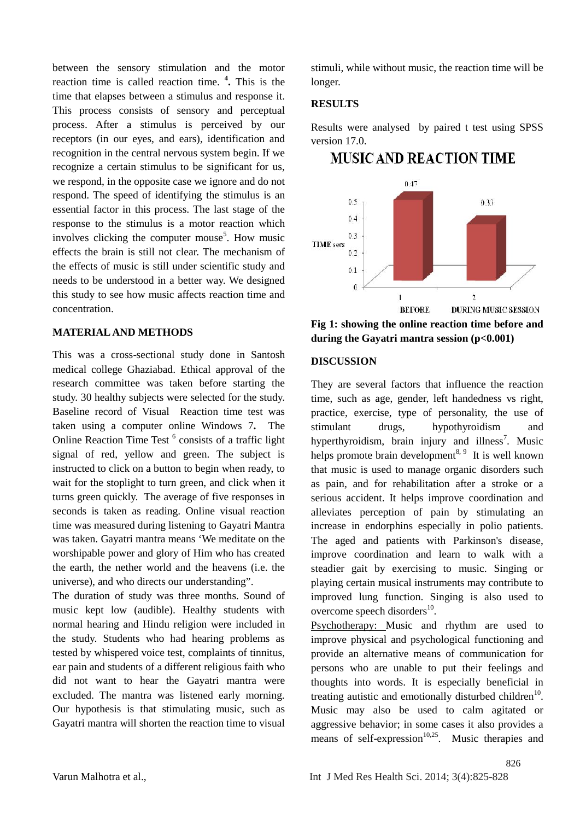between the sensory stimulation and the motor reaction time is called reaction time. **<sup>4</sup> .** This is the time that elapses between a stimulus and response it. This process consists of sensory and perceptual process. After a stimulus is perceived by our receptors (in our eyes, and ears), identification and recognition in the central nervous system begin. If we recognize a certain stimulus to be significant for us, we respond, in the opposite case we ignore and do not respond. The speed of identifying the stimulus is an essential factor in this process. The last stage of the response to the stimulus is a motor reaction which involves clicking the computer mouse<sup>5</sup>. How music effects the brain is still not clear. The mechanism of the effects of music is still under scientific study and needs to be understood in a better way. We designed this study to see how music affects reaction time and concentration.

# **MATERIAL AND METHODS**

This was a cross-sectional study done in Santosh medical college Ghaziabad. Ethical approval of the research committee was taken before starting the study. 30 healthy subjects were selected for the study. Baseline record of Visual Reaction time test was taken using a computer online Windows 7**.** The Online Reaction Time Test <sup>6</sup> consists of a traffic light signal of red, yellow and green. The subject is instructed to click on a button to begin when ready, to wait for the stoplight to turn green, and click when it turns green quickly. The average of five responses in seconds is taken as reading. Online visual reaction time was measured during listening to Gayatri Mantra was taken. Gayatri mantra means 'We meditate on the worshipable power and glory of Him who has created the earth, the nether world and the heavens (i.e. the universe), and who directs our understanding".

The duration of study was three months. Sound of music kept low (audible). Healthy students with normal hearing and Hindu religion were included in the study. Students who had hearing problems as tested by whispered voice test, complaints of tinnitus, ear pain and students of a different religious faith who did not want to hear the Gayatri mantra were excluded. The mantra was listened early morning. Our hypothesis is that stimulating music, such as Gayatri mantra will shorten the reaction time to visual stimuli, while without music, the reaction time will be longer.

## **RESULTS**

Results were analysed by paired t test using SPSS version 17.0.

# **MUSIC AND REACTION TIME**



**Fig 1: showing the online reaction time before and during the Gayatri mantra session (p<0.001)**

## **DISCUSSION**

They are several factors that influence the reaction time, such as age, gender, left handedness vs right, practice, exercise, type of personality, the use of drugs, hypothyroidism and hyperthyroidism, brain injury and illness<sup>7</sup>. Music helps promote brain development<sup>8, 9</sup> It is well known that music is used to manage organic disorders such as pain, and for rehabilitation after a stroke or a serious accident. It helps improve coordination and alleviates perception of pain by stimulating an increase in endorphins especially in polio patients. The aged and patients with Parkinson's disease, improve coordination and learn to walk with a steadier gait by exercising to music. Singing or playing certain musical instruments may contribute to improved lung function. Singing is also used to overcome speech disorders<sup>10</sup>.

Psychotherapy: Music and rhythm are used to improve physical and psychological functioning and provide an alternative means of communication for persons who are unable to put their feelings and thoughts into words. It is especially beneficial in treating autistic and emotionally disturbed children<sup>10</sup>. Music may also be used to calm agitated or aggressive behavior; in some cases it also provides a means of self-expression<sup>10,25</sup>. Music therapies and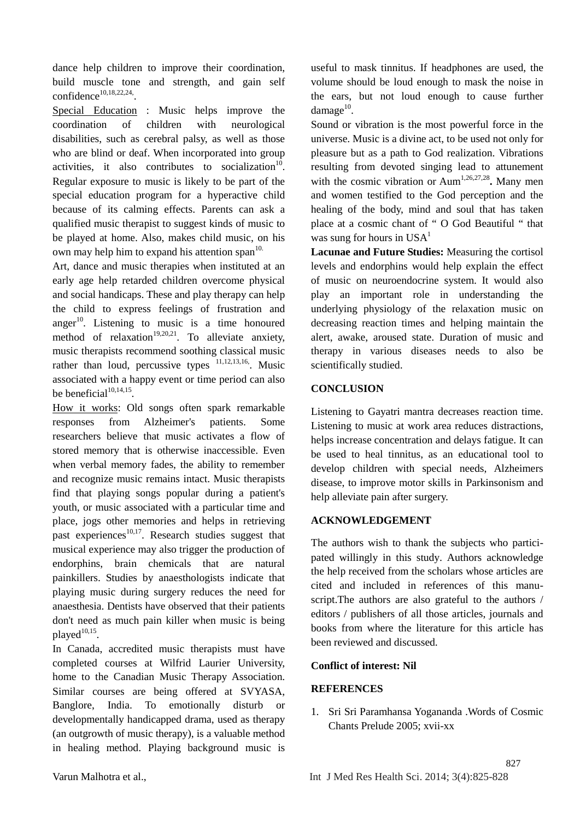dance help children to improve their coordination, build muscle tone and strength, and gain self  $confidence^{10,18,22,24}$ .

Special Education : Music helps improve the coordination of children with neurological disabilities, such as cerebral palsy, as well as those who are blind or deaf. When incorporated into group activities, it also contributes to socialization $10$ . Regular exposure to music is likely to be part of the special education program for a hyperactive child because of its calming effects. Parents can ask a qualified music therapist to suggest kinds of music to be played at home. Also, makes child music, on his own may help him to expand his attention span<sup>10.</sup>

Art, dance and music therapies when instituted at an early age help retarded children overcome physical and social handicaps. These and play therapy can help the child to express feelings of frustration and anger $^{10}$ . Listening to music is a time honoured dec method of relaxation<sup>19,20,21</sup>. To alleviate anxiety, music therapists recommend soothing classical music rather than loud, percussive types  $11,12,13,16$ . Music associated with a happy event or time period can also be beneficial $1^{10,14,15}$ . .

How it works: Old songs often spark remarkable responses from Alzheimer's patients. Some researchers believe that music activates a flow of stored memory that is otherwise inaccessible. Even when verbal memory fades, the ability to remember and recognize music remains intact. Music therapists find that playing songs popular during a patient's youth, or music associated with a particular time and place, jogs other memories and helps in retrieving past experiences<sup>10,17</sup>. Research studies suggest that musical experience may also trigger the production of endorphins, brain chemicals that are natural painkillers. Studies by anaesthologists indicate that playing music during surgery reduces the need for anaesthesia. Dentists have observed that their patients don't need as much pain killer when music is being played $10,15$ .

In Canada, accredited music therapists must have completed courses at Wilfrid Laurier University, home to the Canadian Music Therapy Association. Similar courses are being offered at SVYASA, Banglore, India. To emotionally disturb or developmentally handicapped drama, used as therapy (an outgrowth of music therapy), is a valuable method in healing method. Playing background music is useful to mask tinnitus. If headphones are used, the volume should be loud enough to mask the noise in the ears, but not loud enough to cause further  $\text{damage}^{10}$ .

Sound or vibration is the most powerful force in the universe. Music is a divine act, to be used not only for pleasure but as a path to God realization. Vibrations resulting from devoted singing lead to attunement with the cosmic vibration or Aum<sup>1,26,27,28</sup>. Many men and women testified to the God perception and the healing of the body, mind and soul that has taken place at a cosmic chant of " O God Beautiful " that was sung for hours in  $USA<sup>1</sup>$ 

**Lacunae and Future Studies:** Measuring the cortisol levels and endorphins would help explain the effect of music on neuroendocrine system. It would also play an important role in understanding the underlying physiology of the relaxation music on decreasing reaction times and helping maintain the alert, awake, aroused state. Duration of music and therapy in various diseases needs to also be scientifically studied.

## **CONCLUSION**

Listening to Gayatri mantra decreases reaction time. Listening to music at work area reduces distractions, helps increase concentration and delays fatigue. It can be used to heal tinnitus, as an educational tool to develop children with special needs, Alzheimers disease, to improve motor skills in Parkinsonism and help alleviate pain after surgery.

# **ACKNOWLEDGEMENT**

The authors wish to thank the subjects who participated willingly in this study. Authors acknowledge the help received from the scholars whose articles are cited and included in references of this manuscript.The authors are also grateful to the authors / editors / publishers of all those articles, journals and books from where the literature for this article has been reviewed and discussed.

#### **Conflict of interest: Nil**

# **REFERENCES**

1. Sri Sri Paramhansa Yogananda .Words of Cosmic Chants Prelude 2005; xvii-xx